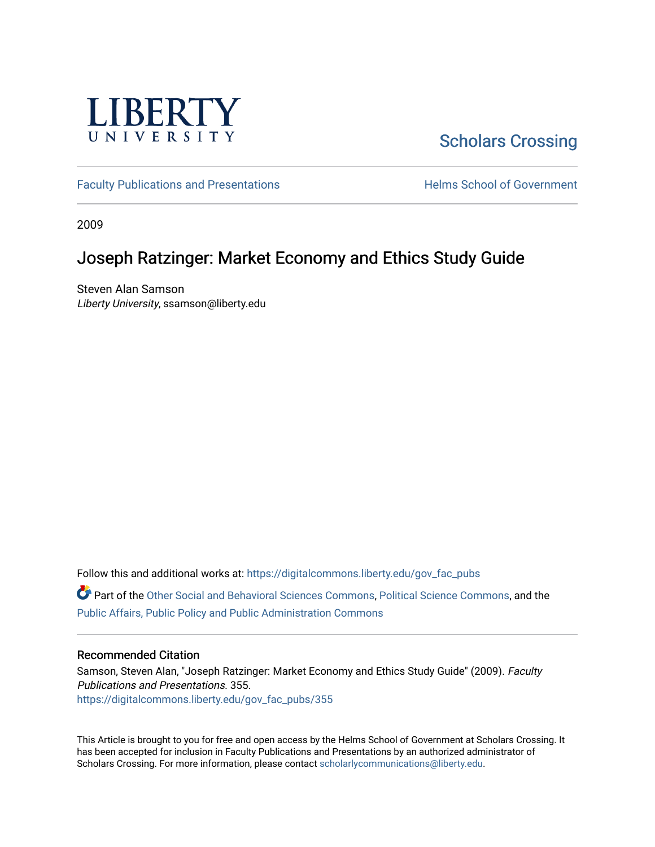

# [Scholars Crossing](https://digitalcommons.liberty.edu/)

[Faculty Publications and Presentations](https://digitalcommons.liberty.edu/gov_fac_pubs) **Exercise School of Government** 

2009

## Joseph Ratzinger: Market Economy and Ethics Study Guide

Steven Alan Samson Liberty University, ssamson@liberty.edu

Follow this and additional works at: [https://digitalcommons.liberty.edu/gov\\_fac\\_pubs](https://digitalcommons.liberty.edu/gov_fac_pubs?utm_source=digitalcommons.liberty.edu%2Fgov_fac_pubs%2F355&utm_medium=PDF&utm_campaign=PDFCoverPages)

Part of the [Other Social and Behavioral Sciences Commons](http://network.bepress.com/hgg/discipline/437?utm_source=digitalcommons.liberty.edu%2Fgov_fac_pubs%2F355&utm_medium=PDF&utm_campaign=PDFCoverPages), [Political Science Commons](http://network.bepress.com/hgg/discipline/386?utm_source=digitalcommons.liberty.edu%2Fgov_fac_pubs%2F355&utm_medium=PDF&utm_campaign=PDFCoverPages), and the [Public Affairs, Public Policy and Public Administration Commons](http://network.bepress.com/hgg/discipline/393?utm_source=digitalcommons.liberty.edu%2Fgov_fac_pubs%2F355&utm_medium=PDF&utm_campaign=PDFCoverPages)

### Recommended Citation

Samson, Steven Alan, "Joseph Ratzinger: Market Economy and Ethics Study Guide" (2009). Faculty Publications and Presentations. 355. [https://digitalcommons.liberty.edu/gov\\_fac\\_pubs/355](https://digitalcommons.liberty.edu/gov_fac_pubs/355?utm_source=digitalcommons.liberty.edu%2Fgov_fac_pubs%2F355&utm_medium=PDF&utm_campaign=PDFCoverPages)

This Article is brought to you for free and open access by the Helms School of Government at Scholars Crossing. It has been accepted for inclusion in Faculty Publications and Presentations by an authorized administrator of Scholars Crossing. For more information, please contact [scholarlycommunications@liberty.edu.](mailto:scholarlycommunications@liberty.edu)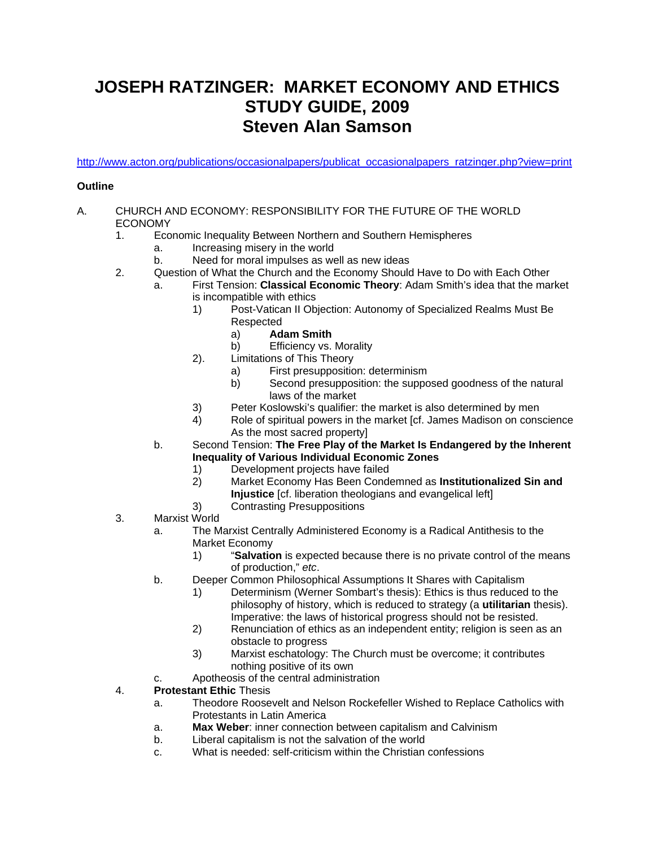# **JOSEPH RATZINGER: MARKET ECONOMY AND ETHICS STUDY GUIDE, 2009 Steven Alan Samson**

http://www.acton.org/publications/occasionalpapers/publicat\_occasionalpapers\_ratzinger.php?view=print

### **Outline**

#### A. CHURCH AND ECONOMY: RESPONSIBILITY FOR THE FUTURE OF THE WORLD ECONOMY

- 1. Economic Inequality Between Northern and Southern Hemispheres
	- a. Increasing misery in the world
	- b. Need for moral impulses as well as new ideas
- 2. Question of What the Church and the Economy Should Have to Do with Each Other
	- a. First Tension: **Classical Economic Theory**: Adam Smith's idea that the market is incompatible with ethics
		- 1) Post-Vatican II Objection: Autonomy of Specialized Realms Must Be Respected
			- a) **Adam Smith**
			- b) Efficiency vs. Morality
		- 2). Limitations of This Theory
			- a) First presupposition: determinism<br>b) Second presupposition: the suppo
			- Second presupposition: the supposed goodness of the natural laws of the market
		- 3) Peter Koslowski's qualifier: the market is also determined by men<br>4) Role of spiritual powers in the market [cf. James Madison on cons
		- Role of spiritual powers in the market [cf. James Madison on conscience
	- As the most sacred property]<br>b. Second Tension: **The Free Play of th**  b. Second Tension: **The Free Play of the Market Is Endangered by the Inherent Inequality of Various Individual Economic Zones** 
		- 1) Development projects have failed
		- 2) Market Economy Has Been Condemned as **Institutionalized Sin and Injustice** [cf. liberation theologians and evangelical left]
		- 3) Contrasting Presuppositions
- 3. Marxist World
	- a. The Marxist Centrally Administered Economy is a Radical Antithesis to the Market Economy
		- 1) "**Salvation** is expected because there is no private control of the means of production," *etc*.
	- b. Deeper Common Philosophical Assumptions It Shares with Capitalism
		- 1) Determinism (Werner Sombart's thesis): Ethics is thus reduced to the philosophy of history, which is reduced to strategy (a **utilitarian** thesis). Imperative: the laws of historical progress should not be resisted.
		- 2) Renunciation of ethics as an independent entity; religion is seen as an obstacle to progress
		- 3) Marxist eschatology: The Church must be overcome; it contributes nothing positive of its own
	- c. Apotheosis of the central administration
- 4. **Protestant Ethic** Thesis
	- a. Theodore Roosevelt and Nelson Rockefeller Wished to Replace Catholics with Protestants in Latin America
	- a. **Max Weber**: inner connection between capitalism and Calvinism
	- b. Liberal capitalism is not the salvation of the world
	- c. What is needed: self-criticism within the Christian confessions